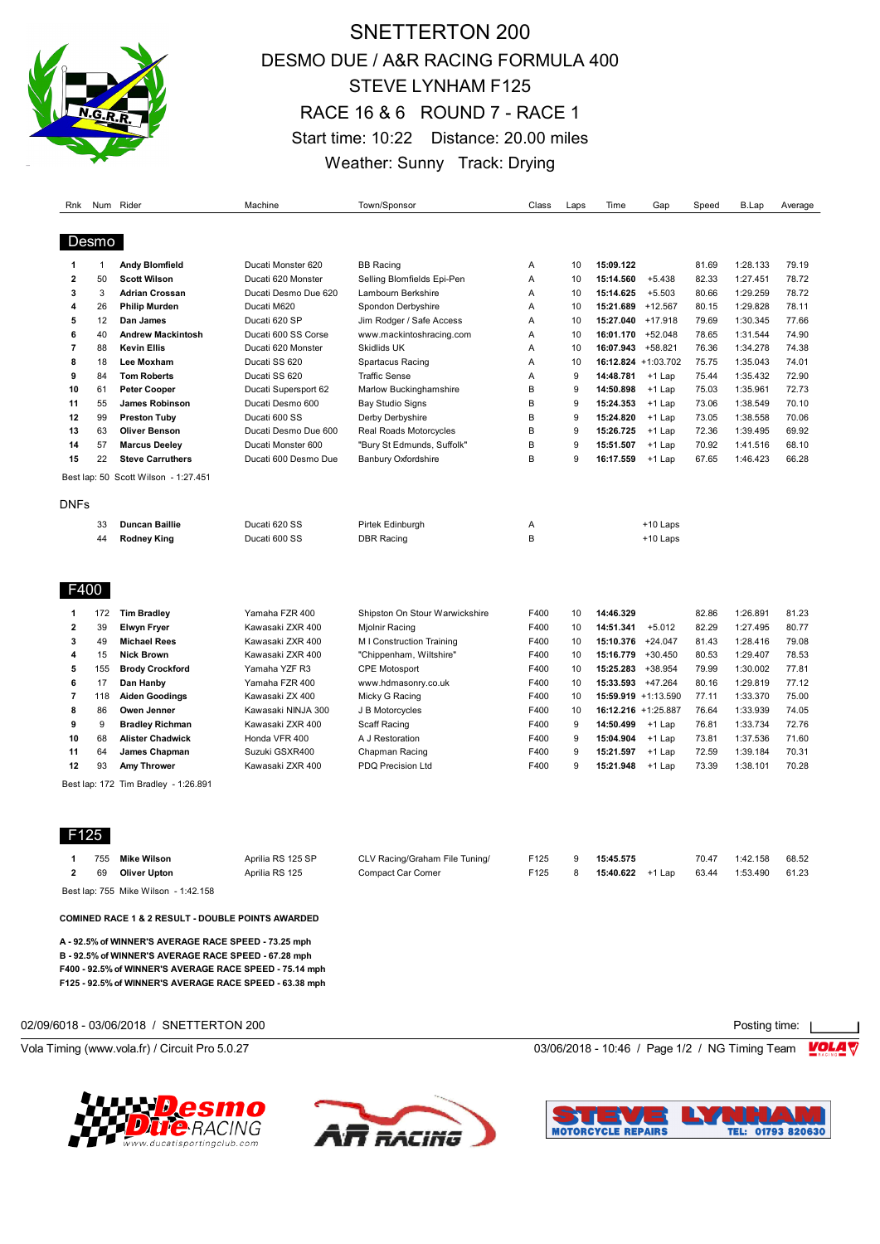

# SNETTERTON 200 DESMO DUE / A&R RACING FORMULA 400 STEVE LYNHAM F125 RACE 16 & 6 ROUND 7 - RACE 1 Start time: 10:22 Distance: 20.00 miles Weather: Sunny Track: Drying

| Rnk                     |              | Num Rider                            | Machine              | Town/Sponsor                   | Class | Laps | Time                | Gap        | Speed | B.Lap    | Average |
|-------------------------|--------------|--------------------------------------|----------------------|--------------------------------|-------|------|---------------------|------------|-------|----------|---------|
|                         |              |                                      |                      |                                |       |      |                     |            |       |          |         |
|                         | Desmo        |                                      |                      |                                |       |      |                     |            |       |          |         |
| 1                       | $\mathbf{1}$ | Andy Blomfield                       | Ducati Monster 620   | <b>BB Racing</b>               | A     | 10   | 15:09.122           |            | 81.69 | 1:28.133 | 79.19   |
| $\overline{\mathbf{2}}$ | 50           | <b>Scott Wilson</b>                  | Ducati 620 Monster   | Selling Blomfields Epi-Pen     | A     | 10   | 15:14.560           | $+5.438$   | 82.33 | 1:27.451 | 78.72   |
| 3                       | 3            | <b>Adrian Crossan</b>                | Ducati Desmo Due 620 | Lambourn Berkshire             | A     | 10   | 15:14.625           | $+5.503$   | 80.66 | 1:29.259 | 78.72   |
| 4                       | 26           | <b>Philip Murden</b>                 | Ducati M620          | Spondon Derbyshire             | A     | 10   | 15:21.689           | $+12.567$  | 80.15 | 1:29.828 | 78.11   |
| 5                       | 12           | Dan James                            | Ducati 620 SP        | Jim Rodger / Safe Access       | A     | 10   | 15:27.040           | $+17.918$  | 79.69 | 1:30.345 | 77.66   |
| 6                       | 40           | <b>Andrew Mackintosh</b>             | Ducati 600 SS Corse  | www.mackintoshracing.com       | A     | 10   | 16:01.170 +52.048   |            | 78.65 | 1:31.544 | 74.90   |
| $\overline{7}$          | 88           | <b>Kevin Ellis</b>                   | Ducati 620 Monster   | <b>Skidlids UK</b>             | Α     | 10   | 16:07.943           | $+58.821$  | 76.36 | 1:34.278 | 74.38   |
| 8                       | 18           | Lee Moxham                           | Ducati SS 620        | <b>Spartacus Racing</b>        | Α     | 10   | 16:12.824 +1:03.702 |            | 75.75 | 1:35.043 | 74.01   |
| 9                       | 84           | <b>Tom Roberts</b>                   | Ducati SS 620        | <b>Traffic Sense</b>           | A     | 9    | 14:48.781           | $+1$ Lap   | 75.44 | 1:35.432 | 72.90   |
| 10                      | 61           | <b>Peter Cooper</b>                  | Ducati Supersport 62 | Marlow Buckinghamshire         | B     | 9    | 14:50.898           | $+1$ Lap   | 75.03 | 1:35.961 | 72.73   |
| 11                      | 55           | James Robinson                       | Ducati Desmo 600     | Bay Studio Signs               | B     | 9    | 15:24.353           | $+1$ Lap   | 73.06 | 1:38.549 | 70.10   |
| 12                      | 99           | <b>Preston Tuby</b>                  | Ducati 600 SS        | Derby Derbyshire               | B     | 9    | 15:24.820           | $+1$ Lap   | 73.05 | 1:38.558 | 70.06   |
| 13                      | 63           | <b>Oliver Benson</b>                 | Ducati Desmo Due 600 | Real Roads Motorcycles         | B     | 9    | 15:26.725           | $+1$ Lap   | 72.36 | 1:39.495 | 69.92   |
| 14                      | 57           | <b>Marcus Deeley</b>                 | Ducati Monster 600   | "Bury St Edmunds, Suffolk"     | B     | 9    | 15:51.507           | $+1$ Lap   | 70.92 | 1:41.516 | 68.10   |
| 15                      | 22           | <b>Steve Carruthers</b>              | Ducati 600 Desmo Due | <b>Banbury Oxfordshire</b>     | B     | 9    | 16:17.559           | +1 Lap     | 67.65 | 1:46.423 | 66.28   |
|                         |              | Best lap: 50 Scott Wilson - 1:27.451 |                      |                                |       |      |                     |            |       |          |         |
| <b>DNFs</b>             |              |                                      |                      |                                |       |      |                     |            |       |          |         |
|                         | 33           | <b>Duncan Baillie</b>                | Ducati 620 SS        | Pirtek Edinburgh               | Α     |      |                     | +10 Laps   |       |          |         |
|                         | 44           | <b>Rodney King</b>                   | Ducati 600 SS        | <b>DBR Racing</b>              | B     |      |                     | $+10$ Laps |       |          |         |
| F400                    |              |                                      |                      |                                |       |      |                     |            |       |          |         |
|                         |              |                                      |                      |                                |       |      |                     |            |       |          |         |
| 1                       | 172          | <b>Tim Bradley</b>                   | Yamaha FZR 400       | Shipston On Stour Warwickshire | F400  | 10   | 14:46.329           |            | 82.86 | 1:26.891 | 81.23   |
| $\overline{2}$          | 39           | <b>Elwyn Fryer</b>                   | Kawasaki ZXR 400     | Miolnir Racing                 | F400  | 10   | 14:51.341           | $+5.012$   | 82.29 | 1:27.495 | 80.77   |
| 3                       | 49           | <b>Michael Rees</b>                  | Kawasaki ZXR 400     | M I Construction Training      | F400  | 10   | 15:10.376           | $+24.047$  | 81.43 | 1:28.416 | 79.08   |
| 4                       | 15           | <b>Nick Brown</b>                    | Kawasaki ZXR 400     | "Chippenham, Wiltshire"        | F400  | 10   | 15:16.779           | $+30.450$  | 80.53 | 1:29.407 | 78.53   |
| 5                       | 155          | <b>Brody Crockford</b>               | Yamaha YZF R3        | <b>CPE Motosport</b>           | F400  | 10   | 15:25.283           | +38.954    | 79.99 | 1:30.002 | 77.81   |
| 6                       | 17           | Dan Hanby                            | Yamaha FZR 400       | www.hdmasonry.co.uk            | F400  | 10   | 15:33.593 +47.264   |            | 80.16 | 1:29.819 | 77.12   |
| $\overline{7}$          | 118          | <b>Aiden Goodings</b>                | Kawasaki ZX 400      | Micky G Racing                 | F400  | 10   | 15:59.919 +1:13.590 |            | 77.11 | 1:33.370 | 75.00   |
| 8                       | 86           | Owen Jenner                          | Kawasaki NINJA 300   | J B Motorcycles                | F400  | 10   | 16:12.216 +1:25.887 |            | 76.64 | 1:33.939 | 74.05   |
| 9                       | 9            | <b>Bradley Richman</b>               | Kawasaki ZXR 400     | <b>Scaff Racing</b>            | F400  | 9    | 14:50.499           | $+1$ Lap   | 76.81 | 1:33.734 | 72.76   |
|                         |              | <b>Alister Chadwick</b>              | Honda VFR 400        | A J Restoration                | F400  | 9    | 15:04.904           | $+1$ Lap   | 73.81 | 1:37.536 | 71.60   |
|                         | 68           |                                      |                      |                                |       |      |                     | +1 Lap     |       |          | 70.31   |
| 10<br>11                | 64           | James Chapman                        | Suzuki GSXR400       | Chapman Racing                 | F400  | 9    | 15:21.597           |            | 72.59 | 1:39.184 |         |

F125

| 755 | Mike Wilson  | Aprilia RS 125 SP | CLV Racing/Graham File Tuning/ | F125 | 15:45.575             | 70.47 | 1:42.158 | 68.52 |
|-----|--------------|-------------------|--------------------------------|------|-----------------------|-------|----------|-------|
| 69  | Oliver Upton | Aprilia RS 125    | Compact Car Corner             | ≂125 | 15:40.622<br>$+1$ Lap | 63.44 | 1:53.490 | 61.23 |

Best lap: 755 Mike Wilson - 1:42.158

**COMINED RACE 1 & 2 RESULT - DOUBLE POINTS AWARDED**

**A - 92.5% of WINNER'S AVERAGE RACE SPEED - 73.25 mph B - 92.5% of WINNER'S AVERAGE RACE SPEED - 67.28 mph F400 - 92.5% of WINNER'S AVERAGE RACE SPEED - 75.14 mph F125 - 92.5% of WINNER'S AVERAGE RACE SPEED - 63.38 mph**

02/09/6018 - 03/06/2018 / SNETTERTON 200



Vola Timing (www.vola.fr) / Circuit Pro 5.0.27 **03/06/2018 - 10:46** / Page 1/2 / NG Timing Team **VOLA** 





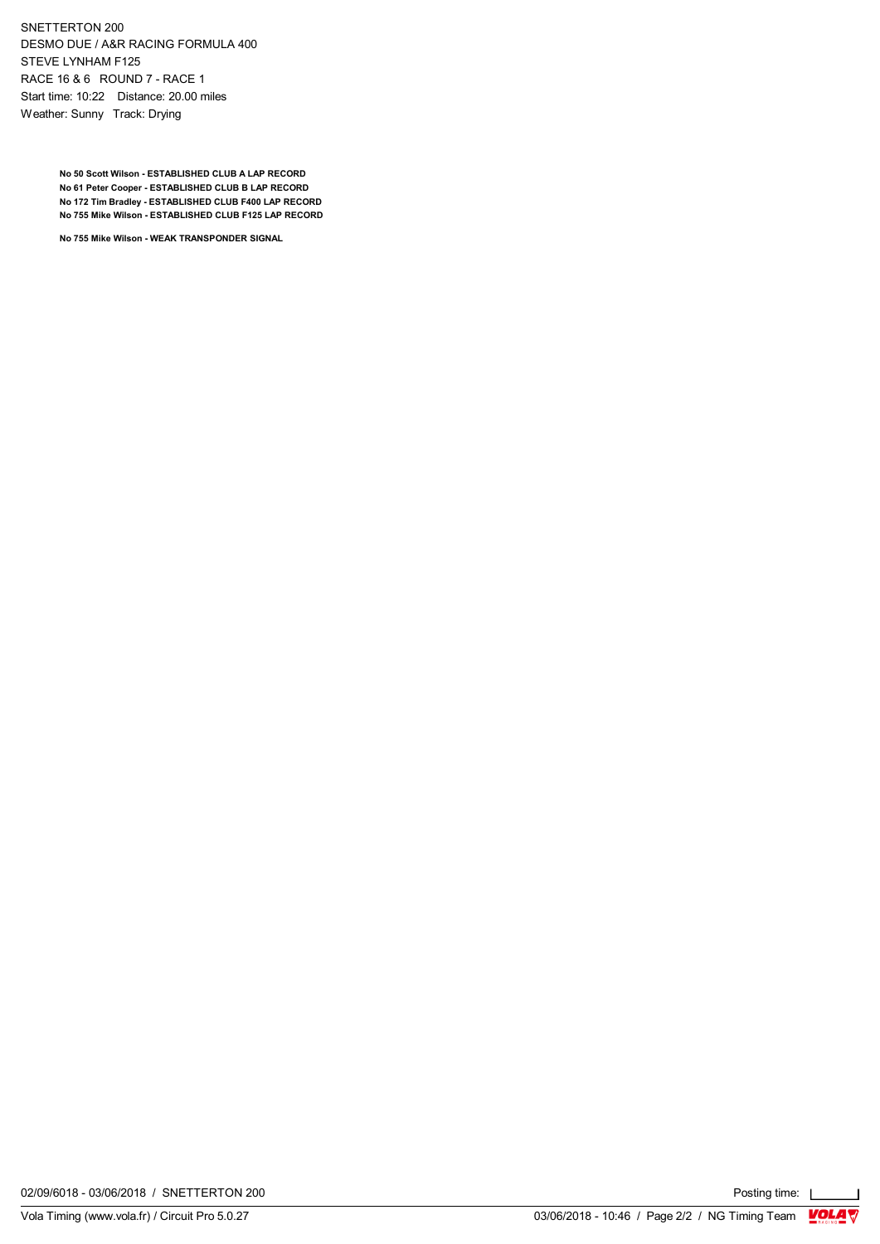SNETTERTON 200 DESMO DUE / A&R RACING FORMULA 400 STEVE LYNHAM F125 RACE 16 & 6 ROUND 7 - RACE 1 Start time: 10:22 Distance: 20.00 miles Weather: Sunny Track: Drying

> **No 50 Scott Wilson - ESTABLISHED CLUB A LAP RECORD No 61 Peter Cooper - ESTABLISHED CLUB B LAP RECORD No 172 Tim Bradley - ESTABLISHED CLUB F400 LAP RECORD No 755 Mike Wilson - ESTABLISHED CLUB F125 LAP RECORD**

**No 755 Mike Wilson - WEAK TRANSPONDER SIGNAL**

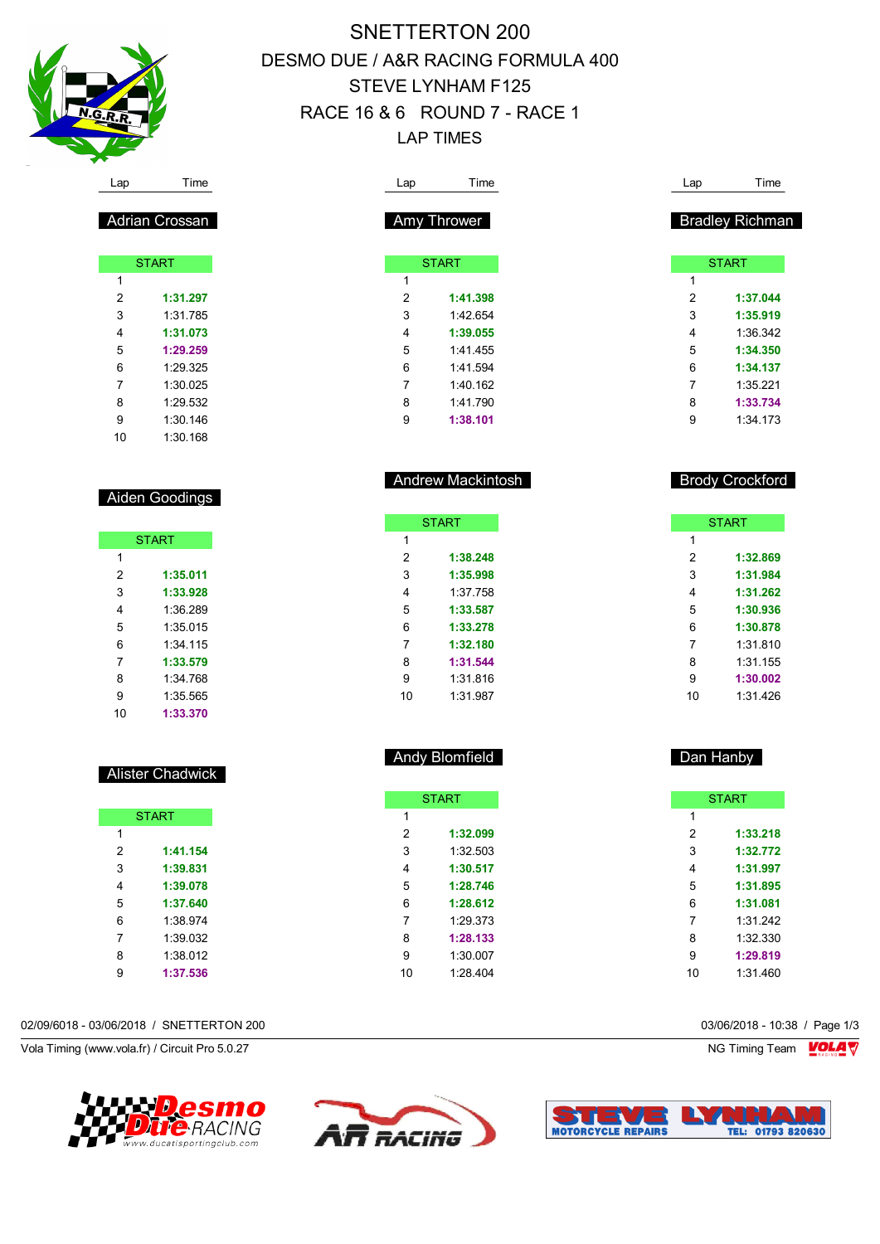

Adrian Crossan

**START** 

 **1:31.297** 1:31.785 **1:31.073 1:29.259** 1:29.325 1:30.025 1:29.532 1:30.146 1:30.168

Aiden Goodings

**START** 

 **1:35.011 1:33.928** 1:36.289 1:35.015 1:34.115 **1:33.579** 1:34.768 1:35.565 **1:33.370**

Alister Chadwick

**START** 

 **1:41.154 1:39.831 1:39.078 1:37.640** 1:38.974 1:39.032 1:38.012 **1:37.536**

 $\overline{1}$ 

# SNETTERTON 200 DESMO DUE / A&R RACING FORMULA 400 STEVE LYNHAM F125 RACE 16 & 6 ROUND 7 - RACE 1 LAP TIMES

| Lap            | Time                                 | Lap            | Time                                         |
|----------------|--------------------------------------|----------------|----------------------------------------------|
|                | Amy Thrower                          |                | <b>Bradley Richman</b>                       |
|                | <b>START</b>                         |                | <b>START</b>                                 |
| 1              |                                      | 1              |                                              |
| $\overline{2}$ | 1:41.398                             | 2              | 1:37.044                                     |
| 3              | 1:42.654                             | 3              | 1:35.919                                     |
| 4              | 1:39.055                             | $\overline{4}$ | 1:36.342                                     |
| 5              | 1:41.455                             | 5              | 1:34.350                                     |
| 6              | 1:41.594                             | 6              | 1:34.137                                     |
| $\overline{7}$ | 1:40.162                             | $\overline{7}$ | 1:35.221                                     |
|                |                                      | 8              | 1:33.734                                     |
| 8              | 1:41.790                             |                |                                              |
| 9              | 1:38.101<br><b>Andrew Mackintosh</b> | 9              | 1:34.173<br><b>Brody Crockford</b>           |
|                | <b>START</b>                         |                |                                              |
| 1              |                                      | 1              | <b>START</b>                                 |
| $\overline{2}$ | 1:38.248                             | 2              | 1:32.869                                     |
| 3              | 1:35.998                             | 3              |                                              |
| 4              | 1:37.758                             | $\overline{4}$ |                                              |
| 5              | 1:33.587                             | 5              |                                              |
| 6              | 1:33.278                             | 6              | 1:31.984<br>1:31.262<br>1:30.936<br>1:30.878 |
| $\overline{7}$ | 1:32.180                             | $\overline{7}$ | 1:31.810                                     |
| 8              | 1:31.544                             | 8              | 1:31.155                                     |
| 9              | 1:31.816                             | 9              | 1:30.002                                     |

|                | <b>START</b> |
|----------------|--------------|
| 1              |              |
| $\overline{2}$ | 1:32.099     |
| 3              | 1:32.503     |
| 4              | 1:30.517     |
| 5              | 1:28.746     |
| 6              | 1:28.612     |
| 7              | 1:29.373     |
| 8              | 1:28.133     |
| 9              | 1:30.007     |
| 10             | 1:28.404     |
|                |              |

#### 02/09/6018 - 03/06/2018 / SNETTERTON 200 03/06/2018 - 10:38 / Page 1/3

Vola Timing (www.vola.fr) / Circuit Pro 5.0.27 NG Timing Team Note that the set of the set of the set of the set of the set of the set of the set of the set of the set of the set of the set of the set of the set of the set





Andy Blomfield



Dan Hanby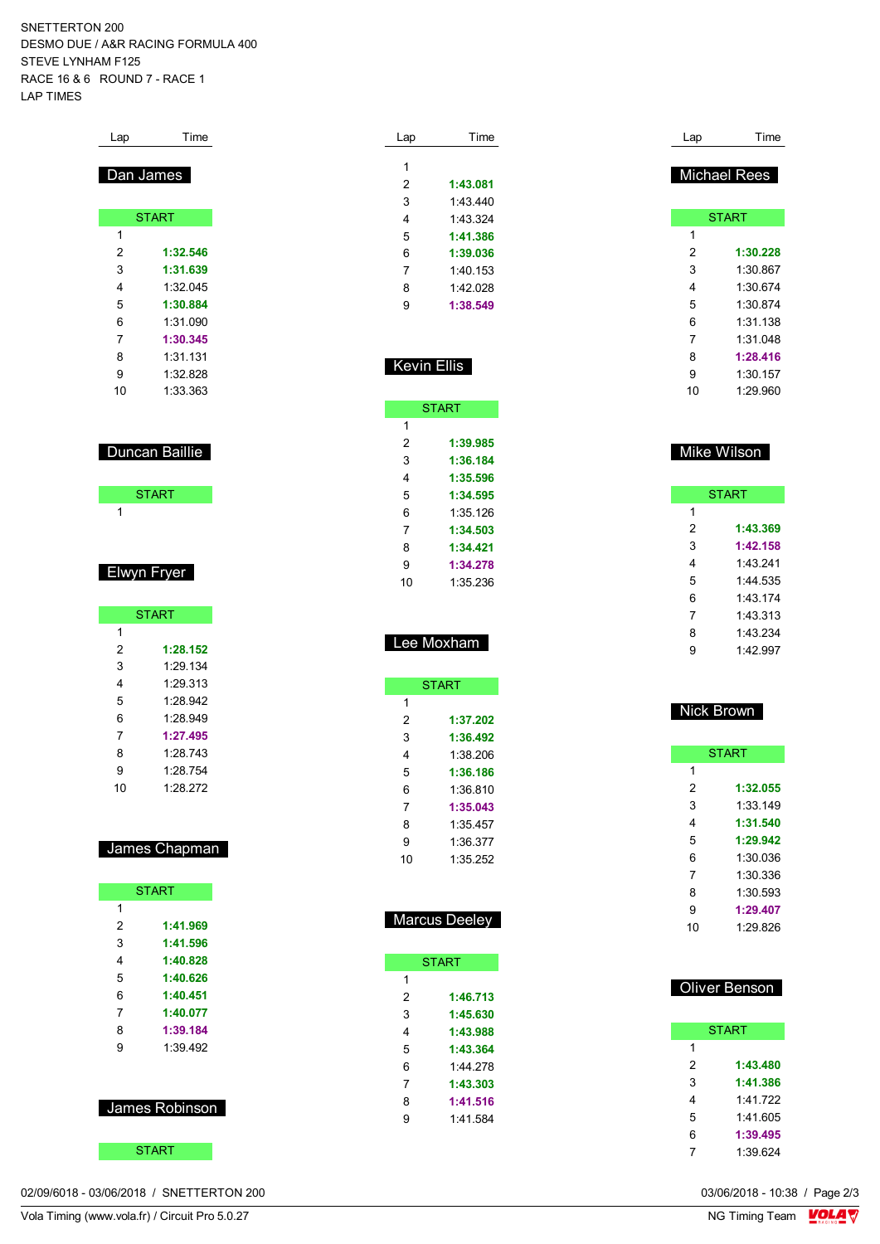SNETTERTON 200 DESMO DUE / A&R RACING FORMULA 400 STEVE LYNHAM F125 RACE 16 & 6 ROUND 7 - RACE 1 LAP TIMES

| Lap       | Time         |  |  |  |  |
|-----------|--------------|--|--|--|--|
| Dan James |              |  |  |  |  |
|           | <b>START</b> |  |  |  |  |
| 1         |              |  |  |  |  |
| 2         | 1:32.546     |  |  |  |  |
| 3         | 1:31.639     |  |  |  |  |
| 4         | 1:32.045     |  |  |  |  |
| 5         | 1:30.884     |  |  |  |  |
| 6         | 1:31.090     |  |  |  |  |
| 7         | 1:30.345     |  |  |  |  |
| 8         | 1:31.131     |  |  |  |  |
| 9         | 1:32.828     |  |  |  |  |
| 10        | 1:33.363     |  |  |  |  |

| Duncan Baillie |
|----------------|
|----------------|

| <b>START</b> |  |
|--------------|--|
|              |  |

## Elwyn Fryer

|    | <b>START</b> |
|----|--------------|
| 1  |              |
| 2  | 1:28.152     |
| 3  | 1:29.134     |
| 4  | 1.29 313     |
| 5  | 1.28.942     |
| 6  | 1.28.949     |
| 7  | 1:27.495     |
| 8  | 1.28 743     |
| 9  | 1.28 754     |
| 10 | 1:28.272     |

## James Chapman

|   | <b>START</b>   |
|---|----------------|
| 1 |                |
| 2 | 1:41.969       |
| 3 | 1:41.596       |
| 4 | 1:40.828       |
| 5 | 1:40.626       |
| 6 | 1:40.451       |
| 7 | 1:40.077       |
| 8 | 1:39.184       |
| 9 | 1:39 492       |
|   |                |
|   | James Robinson |
|   |                |

| <b>START</b> |  |
|--------------|--|
|              |  |

02/09/6018 - 03/06/2018 / SNETTERTON 200

| Lap | Time     |
|-----|----------|
|     |          |
| 1   |          |
| 2   | 1:43.081 |
| 3   | 1:43:440 |
| 4   | 1.43.324 |
| 5   | 1:41.386 |
| 6   | 1:39.036 |
| 7   | 1:40 153 |
| 8   | 1.42028  |
| g   | 1:38.549 |
|     |          |

| Kevin Ellis |  |
|-------------|--|
|             |  |

|    | <b>START</b> |
|----|--------------|
| 1  |              |
| 2  | 1:39.985     |
| 3  | 1:36.184     |
| 4  | 1:35.596     |
| 5  | 1:34.595     |
| 6  | 1:35.126     |
| 7  | 1:34.503     |
| 8  | 1:34.421     |
| 9  | 1:34.278     |
| 10 | 1:35 236     |
|    |              |

| Lee Moxham |
|------------|
|            |

|    | <b>START</b> |
|----|--------------|
| 1  |              |
| 2  | 1:37.202     |
| 3  | 1:36.492     |
| 4  | 1:38.206     |
| 5  | 1:36.186     |
| 6  | 1:36 810     |
| 7  | 1:35.043     |
| 8  | 1:35 457     |
| 9  | 1:36.377     |
| 10 | 1:35.252     |

## **Marcus Deeley**

|   | <b>START</b> |
|---|--------------|
| 1 |              |
| 2 | 1:46.713     |
| 3 | 1:45.630     |
| 4 | 1:43.988     |
| 5 | 1:43.364     |
| 6 | 1:44 278     |
| 7 | 1:43.303     |
| 8 | 1:41.516     |
| 9 | 1:41.584     |
|   |              |

| Lap | Time                |
|-----|---------------------|
|     | <b>Michael Rees</b> |
|     | <b>START</b>        |
| 1   |                     |
| 2   | 1:30.228            |
| 3   | 1:30.867            |
| 4   | 1:30.674            |
| 5   | 1:30.874            |
| 6   | 1:31 138            |
| 7   | 1:31.048            |
| 8   | 1:28.416            |
| 9   | 1:30.157            |
| 10  | 1:29.960            |
|     |                     |

### Mike Wilson

| <b>START</b> |          |  |
|--------------|----------|--|
| 1            |          |  |
| 2            | 1:43.369 |  |
| 3            | 1:42.158 |  |
| 4            | 1 43 241 |  |
| 5            | 1:44 535 |  |
| 6            | 1:43.174 |  |
| 7            | 1:43.313 |  |
| 8            | 1.43234  |  |
| g            | 1.42997  |  |

#### Nick Brown

| <b>START</b> |          |  |
|--------------|----------|--|
| 1            |          |  |
| 2            | 1:32.055 |  |
| 3            | 1:33 149 |  |
| 4            | 1:31.540 |  |
| 5            | 1:29.942 |  |
| 6            | 1:30.036 |  |
| 7            | 1:30.336 |  |
| 8            | 1:30.593 |  |
| 9            | 1:29.407 |  |
| 10           | 1:29.826 |  |

| Oliver Benson |              |  |
|---------------|--------------|--|
|               |              |  |
|               | <b>START</b> |  |
| 1             |              |  |
| 2             | 1:43.480     |  |
| 3             | 1:41.386     |  |
| 4             | 1:41.722     |  |
| 5             | 1:41 605     |  |
| 6             | 1:39.495     |  |
| 7             | 1:39 624     |  |

03/06/2018 - 10:38 / Page 2/3<br>NG Timing Team  $\frac{\text{VOLA}}{\text{V}}$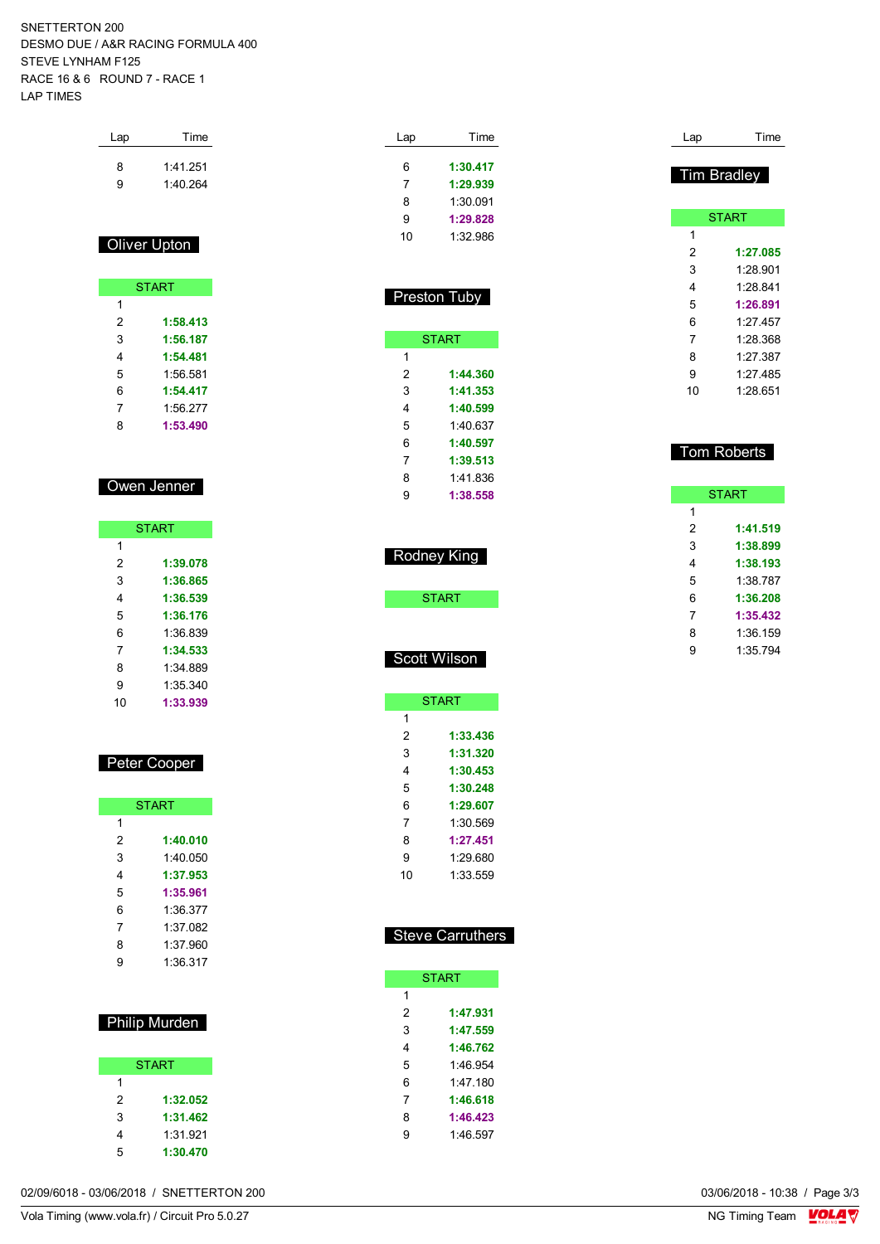SNETTERTON 200 DESMO DUE / A&R RACING FORMULA 400 STEVE LYNHAM F125 RACE 16 & 6 ROUND 7 - RACE 1 LAP TIMES

Lap Time

| 8<br>9         | 1:41.251<br>1:40.264 |
|----------------|----------------------|
|                | Oliver Upton         |
|                | <b>START</b>         |
| 1              |                      |
| 2              | 1:58.413             |
| 3              | 1:56.187             |
| 4              | 1:54.481             |
| 5              | 1:56.581             |
| 6              | 1:54.417             |
| $\overline{7}$ | 1:56.277             |
| 8              | 1:53.490             |
|                |                      |
|                |                      |

### Owen Jenner

| <b>START</b> |          |
|--------------|----------|
| 1            |          |
| 2            | 1:39.078 |
| 3            | 1:36.865 |
| 4            | 1:36.539 |
| 5            | 1:36.176 |
| 6            | 1:36 839 |
| 7            | 1:34.533 |
| 8            | 1:34.889 |
| 9            | 1:35 340 |
| 10           | 1:33.939 |

#### Peter Cooper

| <b>START</b> |          |
|--------------|----------|
| 1            |          |
| 2            | 1:40.010 |
| 3            | 1:40 050 |
| 4            | 1:37.953 |
| 5            | 1:35.961 |
| 6            | 1:36.377 |
| 7            | 1:37 082 |
| 8            | 1:37.960 |
| 9            | 1:36.317 |

#### Philip Murden

|   | <b>START</b> |
|---|--------------|
| 1 |              |
| 2 | 1:32.052     |
| 3 | 1:31.462     |
| 4 | 1:31.921     |
| 5 | 1:30.470     |

| Lap | Time     |
|-----|----------|
| 6   |          |
|     | 1:30.417 |
| 7   | 1:29.939 |
| 8   | 1:30.091 |
| Й   | 1:29.828 |
| 10  | 1:32.986 |

|   | <b>Preston Tuby</b> |
|---|---------------------|
|   | <b>START</b>        |
| 1 |                     |
| 2 | 1:44.360            |
| 3 | 1:41.353            |
| 4 | 1:40.599            |
| 5 | 1:40 637            |
| 6 | 1:40.597            |
| 7 | 1:39.513            |
| 8 | 1:41.836            |
| g | 1:38.558            |

| 10          |
|-------------|
| Ton         |
|             |
| 1           |
|             |
|             |
|             |
|             |
| 2 3 4 5 6 7 |
|             |
|             |

# Scott Wilson

Rodney King

**START** 

|    | <b>START</b> |
|----|--------------|
| 1  |              |
| 2  | 1:33.436     |
| 3  | 1:31.320     |
| 4  | 1:30.453     |
| 5  | 1:30.248     |
| 6  | 1:29.607     |
| 7  | 1:30.569     |
| 8  | 1:27.451     |
| 9  | 1:29.680     |
| 10 | 1:33.559     |

### Steve Carruthers

| 1 |
|---|
| 2 |
| 3 |
| 4 |
| 5 |
| 6 |
| 7 |
| 8 |
| q |
|   |

|    | <b>START</b> |
|----|--------------|
| 1  |              |
| 2  | 1:27.085     |
| 3  | 1:28.901     |
| 4  | 1:28.841     |
| 5  | 1:26.891     |
| 6  | 1.27 457     |
| 7  | 1:28.368     |
| 8  | 1:27.387     |
| 9  | 1.27 485     |
| 10 | 1.28 651     |
|    |              |
|    |              |
|    |              |
|    | om Roberts   |

Lap Time

Tim Bradley

**START 1:41.519 1:38.899 1:38.193** 1:38.787 **1:36.208 1:35.432** 1:36.159 1:35.794

02/09/6018 - 03/06/2018 / SNETTERTON 200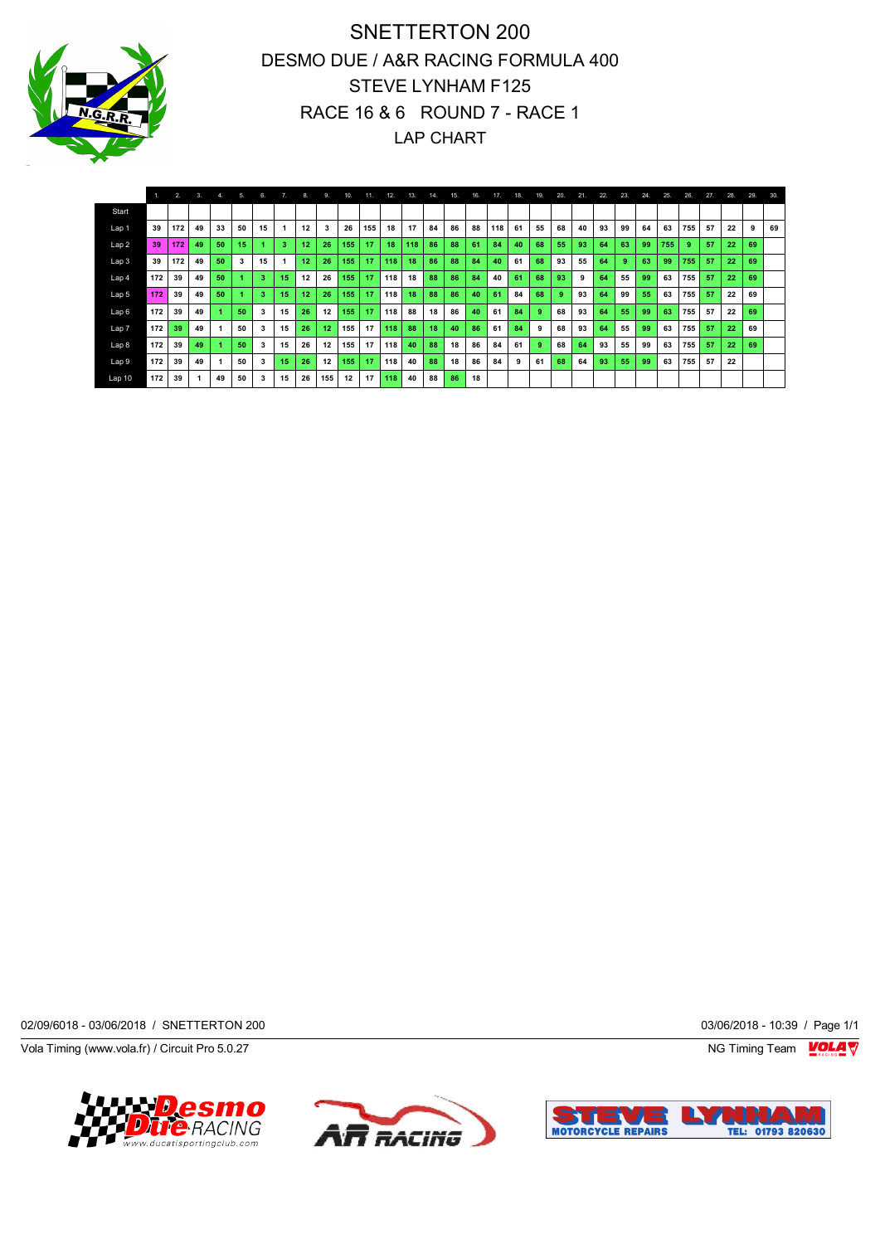

SNETTERTON 200 DESMO DUE / A&R RACING FORMULA 400 STEVE LYNHAM F125 RACE 16 & 6 ROUND 7 - RACE 1 LAP CHART

|                  |     | 2.  | 3. | 4. | 5. | 6  |    | -8. | 9.  | 10. | 11. | 12. | 13. | 14. | 15. | 16. | 17. | 18. | 19. | 20. | 21. | 22. | 23. | 24. | 25. | 26. | 27. | 28. | 29. | 30. |
|------------------|-----|-----|----|----|----|----|----|-----|-----|-----|-----|-----|-----|-----|-----|-----|-----|-----|-----|-----|-----|-----|-----|-----|-----|-----|-----|-----|-----|-----|
| Start            |     |     |    |    |    |    |    |     |     |     |     |     |     |     |     |     |     |     |     |     |     |     |     |     |     |     |     |     |     |     |
| Lap 1            | 39  | 172 | 49 | 33 | 50 | 15 |    | 12  | 3   | 26  | 155 | 18  | 17  | 84  | 86  | 88  | 118 | 61  | 55  | 68  | 40  | 93  | 99  | 64  | 63  | 755 | 57  | 22  | 9   | 69  |
| Lap <sub>2</sub> | 39  | 172 | 49 | 50 | 15 |    | 3  | 12  | 26  | 155 | 17  | 18  | 118 | 86  | 88  | 61  | 84  | 40  | 68  | 55  | 93  | 64  | 63  | 99  | 755 | 9   | 57  | 22  | 69  |     |
| Lap <sub>3</sub> | 39  | 172 | 49 | 50 | 3  | 15 |    | 12  | 26  | 155 | 17  | 118 | 18  | 86  | 88  | 84  | 40  | 61  | 68  | 93  | 55  | 64  | ٥   | 63  | 99  | 755 | 57  | 22  | 69  |     |
| Lap 4            | 172 | 39  | 49 | 50 |    | 3  | 15 | 12  | 26  | 155 | 17  | 118 | 18  | 88  | 86  | 84  | 40  | 61  | 68  | 93  | 9   | 64  | 55  | 99  | 63  | 755 | 57  | 22  | 69  |     |
| Lap 5            | 172 | 39  | 49 | 50 |    |    | 15 | 12  | 26  | 155 | 17  | 118 | 18  | 88  | 86  | 40  | 61  | 84  | 68  | 9   | 93  | 64  | 99  | 55  | 63  | 755 | 57  | 22  | 69  |     |
| Lap6             | 172 | 39  | 49 |    | 50 | 3  | 15 | 26  | 12  | 155 | 17  | 118 | 88  | 18  | 86  | 40  | 61  | 84  | 9   | 68  | 93  | 64  | 55  | 99  | 63  | 755 | 57  | 22  | 69  |     |
| Lap <sub>7</sub> | 172 | 39  | 49 |    | 50 | з  | 15 | 26  | 12  | 155 | 17  | 118 | 88  | 18  | 40  | 86  | 61  | 84  | 9   | 68  | 93  | 64  | 55  | 99  | 63  | 755 | 57  | 22  | 69  |     |
| Lap 8            | 172 | 39  | 49 |    | 50 | 3  | 15 | 26  | 12  | 155 | 17  | 118 | 40  | 88  | 18  | 86  | 84  | 61  | -9  | 68  | 64  | 93  | 55  | 99  | 63  | 755 | 57  | 22  | 69  |     |
| Lap <sub>9</sub> | 172 | 39  | 49 |    | 50 | 3  | 15 | 26  | 12  | 155 | 17  | 118 | 40  | 88  | 18  | 86  | 84  | 9   | 61  | 68  | 64  | 93  | 55  | 99  | 63  | 755 | 57  | 22  |     |     |
| Lap 10           | 172 | 39  |    | 49 | 50 | 3  | 15 | 26  | 155 | 12  | 17  | 118 | 40  | 88  | 86  | 18  |     |     |     |     |     |     |     |     |     |     |     |     |     |     |

02/09/6018 - 03/06/2018 / SNETTERTON 200 03/06/2018 - 10:39 / Page 1/1

Vola Timing (www.vola.fr) / Circuit Pro 5.0.27 NG Timing Team Muslem of the Superior Studies of the Superior Studies of the Superior Studies of the Superior Studies of the Superior Studies of the Superior Studies of the Su





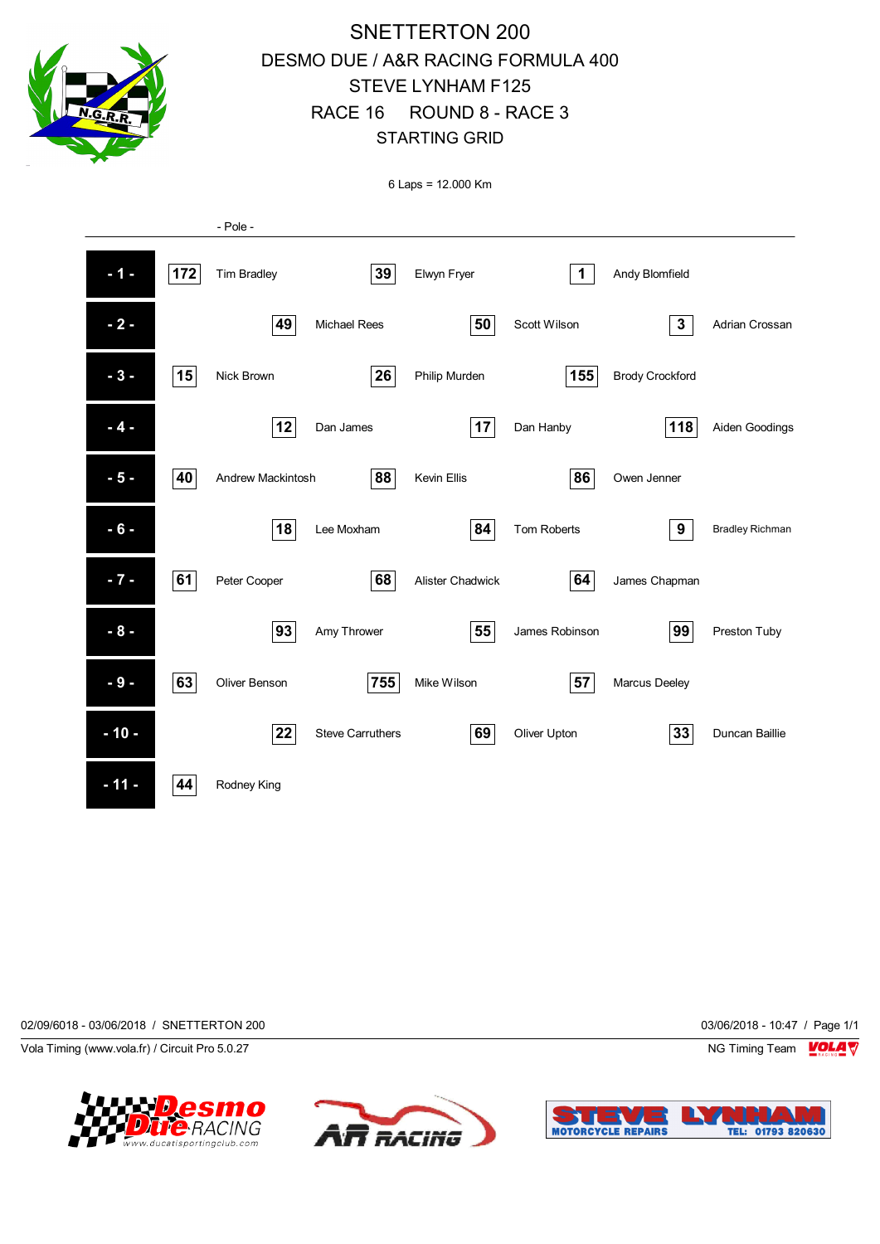

# SNETTERTON 200 DESMO DUE / A&R RACING FORMULA 400 STEVE LYNHAM F125 RACE 16 ROUND 8 - RACE 3 STARTING GRID

6 Laps = 12.000 Km



02/09/6018 - 03/06/2018 / SNETTERTON 200 03/06/2018 - 10:47 / Page 1/1

Vola Timing (www.vola.fr) / Circuit Pro 5.0.27 NG Timing Team Notice that the Subset of the Subset of the Subset of the Subset of the Subset of the Subset of the Subset of the Subset of the Subset of the Subset of the Subs





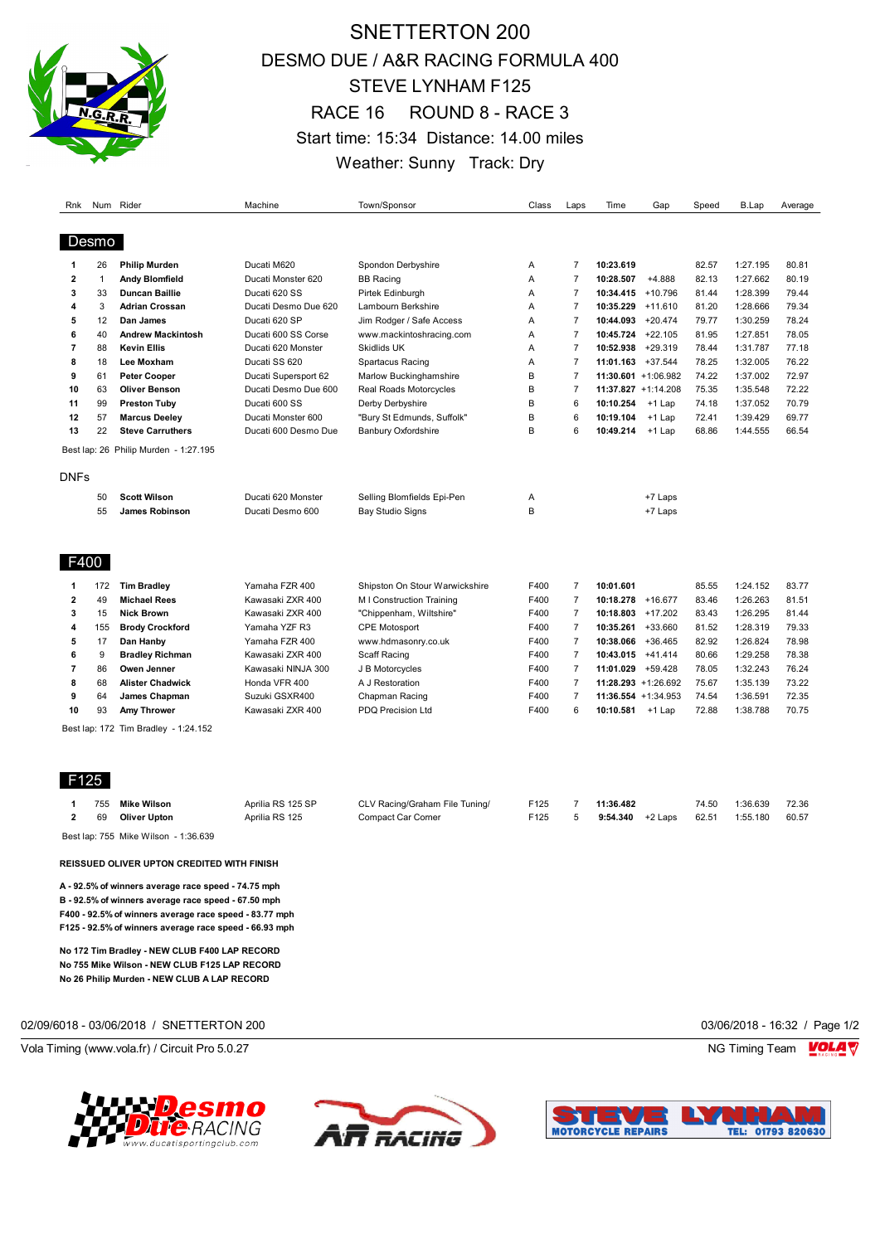

# SNETTERTON 200 DESMO DUE / A&R RACING FORMULA 400 STEVE LYNHAM F125 RACE 16 ROUND 8 - RACE 3 Start time: 15:34 Distance: 14.00 miles Weather: Sunny Track: Dry

| Rnk            |              | Num Rider                             | Machine              | Town/Sponsor                   | Class | Laps           | Time                   | Gap       | Speed | B.Lap    | Average |
|----------------|--------------|---------------------------------------|----------------------|--------------------------------|-------|----------------|------------------------|-----------|-------|----------|---------|
|                |              |                                       |                      |                                |       |                |                        |           |       |          |         |
| Desmo          |              |                                       |                      |                                |       |                |                        |           |       |          |         |
| 1              | 26           | <b>Philip Murden</b>                  | Ducati M620          | Spondon Derbyshire             | A     | $\overline{7}$ | 10:23.619              |           | 82.57 | 1:27.195 | 80.81   |
| $\overline{2}$ | $\mathbf{1}$ | Andy Blomfield                        | Ducati Monster 620   | <b>BB Racing</b>               | A     | $\overline{7}$ | 10:28.507              | $+4.888$  | 82.13 | 1:27.662 | 80.19   |
| 3              | 33           | <b>Duncan Baillie</b>                 | Ducati 620 SS        | Pirtek Edinburgh               | A     | $\overline{7}$ | 10:34.415 +10.796      |           | 81.44 | 1:28.399 | 79.44   |
| 4              | 3            | <b>Adrian Crossan</b>                 | Ducati Desmo Due 620 | Lambourn Berkshire             | A     | $\overline{7}$ | 10:35.229              | $+11.610$ | 81.20 | 1:28.666 | 79.34   |
| 5              | 12           | Dan James                             | Ducati 620 SP        | Jim Rodger / Safe Access       | A     | $\overline{7}$ | 10:44.093              | $+20.474$ | 79.77 | 1:30.259 | 78.24   |
| 6              | 40           | <b>Andrew Mackintosh</b>              | Ducati 600 SS Corse  | www.mackintoshracing.com       | A     | $\overline{7}$ | 10:45.724              | $+22.105$ | 81.95 | 1:27.851 | 78.05   |
| 7              | 88           | <b>Kevin Ellis</b>                    | Ducati 620 Monster   | Skidlids UK                    | A     | $\overline{7}$ | 10:52.938              | $+29.319$ | 78.44 | 1:31.787 | 77.18   |
| 8              | 18           | Lee Moxham                            | Ducati SS 620        | Spartacus Racing               | A     | $\overline{7}$ | $11:01.163$ +37.544    |           | 78.25 | 1:32.005 | 76.22   |
| 9              | 61           | Peter Cooper                          | Ducati Supersport 62 | Marlow Buckinghamshire         | B     | $\overline{7}$ | $11:30.601 + 1:06.982$ |           | 74.22 | 1:37.002 | 72.97   |
| 10             | 63           | Oliver Benson                         | Ducati Desmo Due 600 | Real Roads Motorcycles         | B     | $\overline{7}$ | 11:37.827 +1:14.208    |           | 75.35 | 1:35.548 | 72.22   |
| 11             | 99           | <b>Preston Tuby</b>                   | Ducati 600 SS        | Derby Derbyshire               | B     | 6              | 10:10.254              | $+1$ Lap  | 74.18 | 1:37.052 | 70.79   |
| 12             | 57           | <b>Marcus Deeley</b>                  | Ducati Monster 600   | "Bury St Edmunds, Suffolk"     | B     | 6              | 10:19.104              | $+1$ Lap  | 72.41 | 1:39.429 | 69.77   |
| 13             | 22           | <b>Steve Carruthers</b>               | Ducati 600 Desmo Due | <b>Banbury Oxfordshire</b>     | B     | 6              | 10:49.214              | +1 Lap    | 68.86 | 1:44.555 | 66.54   |
|                |              | Best lap: 26 Philip Murden - 1:27.195 |                      |                                |       |                |                        |           |       |          |         |
| <b>DNFs</b>    |              |                                       |                      |                                |       |                |                        |           |       |          |         |
|                | 50           | <b>Scott Wilson</b>                   | Ducati 620 Monster   | Selling Blomfields Epi-Pen     | Α     |                |                        | +7 Laps   |       |          |         |
|                | 55           | <b>James Robinson</b>                 | Ducati Desmo 600     | <b>Bay Studio Signs</b>        | B     |                |                        | +7 Laps   |       |          |         |
| F400           |              |                                       |                      |                                |       |                |                        |           |       |          |         |
| 1              | 172          | <b>Tim Bradley</b>                    | Yamaha FZR 400       | Shipston On Stour Warwickshire | F400  | $\overline{7}$ | 10:01.601              |           | 85.55 | 1:24.152 | 83.77   |
| $\overline{2}$ | 49           | <b>Michael Rees</b>                   | Kawasaki ZXR 400     | M I Construction Training      | F400  | $\overline{7}$ | 10:18.278              | $+16.677$ | 83.46 | 1:26.263 | 81.51   |
| 3              | 15           | <b>Nick Brown</b>                     | Kawasaki ZXR 400     | "Chippenham, Wiltshire"        | F400  | $\overline{7}$ | 10:18.803              | $+17.202$ | 83.43 | 1:26.295 | 81.44   |
| 4              | 155          | <b>Brody Crockford</b>                | Yamaha YZF R3        | <b>CPE Motosport</b>           | F400  | $\overline{7}$ | 10:35.261              | +33.660   | 81.52 | 1:28.319 | 79.33   |
| 5              | 17           | Dan Hanby                             | Yamaha FZR 400       | www.hdmasonry.co.uk            | F400  | $\overline{7}$ | 10:38.066              | $+36.465$ | 82.92 | 1:26.824 | 78.98   |
| 6              | 9            | <b>Bradley Richman</b>                | Kawasaki ZXR 400     | Scaff Racing                   | F400  | $\overline{7}$ | 10:43.015 +41.414      |           | 80.66 | 1:29.258 | 78.38   |
| 7              | 86           | Owen Jenner                           | Kawasaki NINJA 300   | J B Motorcycles                | F400  | $\overline{7}$ | 11:01.029 +59.428      |           | 78.05 | 1:32.243 | 76.24   |
| 8              | 68           | <b>Alister Chadwick</b>               | Honda VFR 400        | A J Restoration                | F400  | $\overline{7}$ | $11:28.293 + 1:26.692$ |           | 75.67 | 1:35.139 | 73.22   |
| 9              | 64           | James Chapman                         | Suzuki GSXR400       | Chapman Racing                 | F400  | $\overline{7}$ | 11:36.554 +1:34.953    |           | 74.54 | 1:36.591 | 72.35   |
|                |              | <b>Amy Thrower</b>                    | Kawasaki ZXR 400     | <b>PDQ Precision Ltd</b>       | F400  | 6              | 10:10.581              | +1 Lap    | 72.88 | 1:38.788 | 70.75   |
| 10             | 93           |                                       |                      |                                |       |                |                        |           |       |          |         |

F125

| 755 | Mike Wilson                          | Aprilia RS 125 SP | CLV Racing/Graham File Tuning/ | F125             | 11:36.482          | 74.50 | 1:36.639 | 72.36 |
|-----|--------------------------------------|-------------------|--------------------------------|------------------|--------------------|-------|----------|-------|
| 69  | Oliver Upton                         | Aprilia RS 125    | Compact Car Corner             | F <sub>125</sub> | $9:54.340$ +2 Laps | 62.51 | 1:55.180 | 60.57 |
|     | Best lap: 755 Mike Wilson - 1:36.639 |                   |                                |                  |                    |       |          |       |

**REISSUED OLIVER UPTON CREDITED WITH FINISH**

**A - 92.5% of winners average race speed - 74.75 mph B - 92.5% of winners average race speed - 67.50 mph F400 - 92.5% of winners average race speed - 83.77 mph F125 - 92.5% of winners average race speed - 66.93 mph**

**No 172 Tim Bradley - NEW CLUB F400 LAP RECORD No 755 Mike Wilson - NEW CLUB F125 LAP RECORD No 26 Philip Murden - NEW CLUB A LAP RECORD**

02/09/6018 - 03/06/2018 / SNETTERTON 200 03/06/2018 - 16:32 / Page 1/2

Vola Timing (www.vola.fr) / Circuit Pro 5.0.27 NG Timing Team Notice of the Unit of the Unit of the Unit of the Unit of the Unit of the Unit of the Unit of the Unit of the Unit of the Unit of the Unit of the Unit of the U





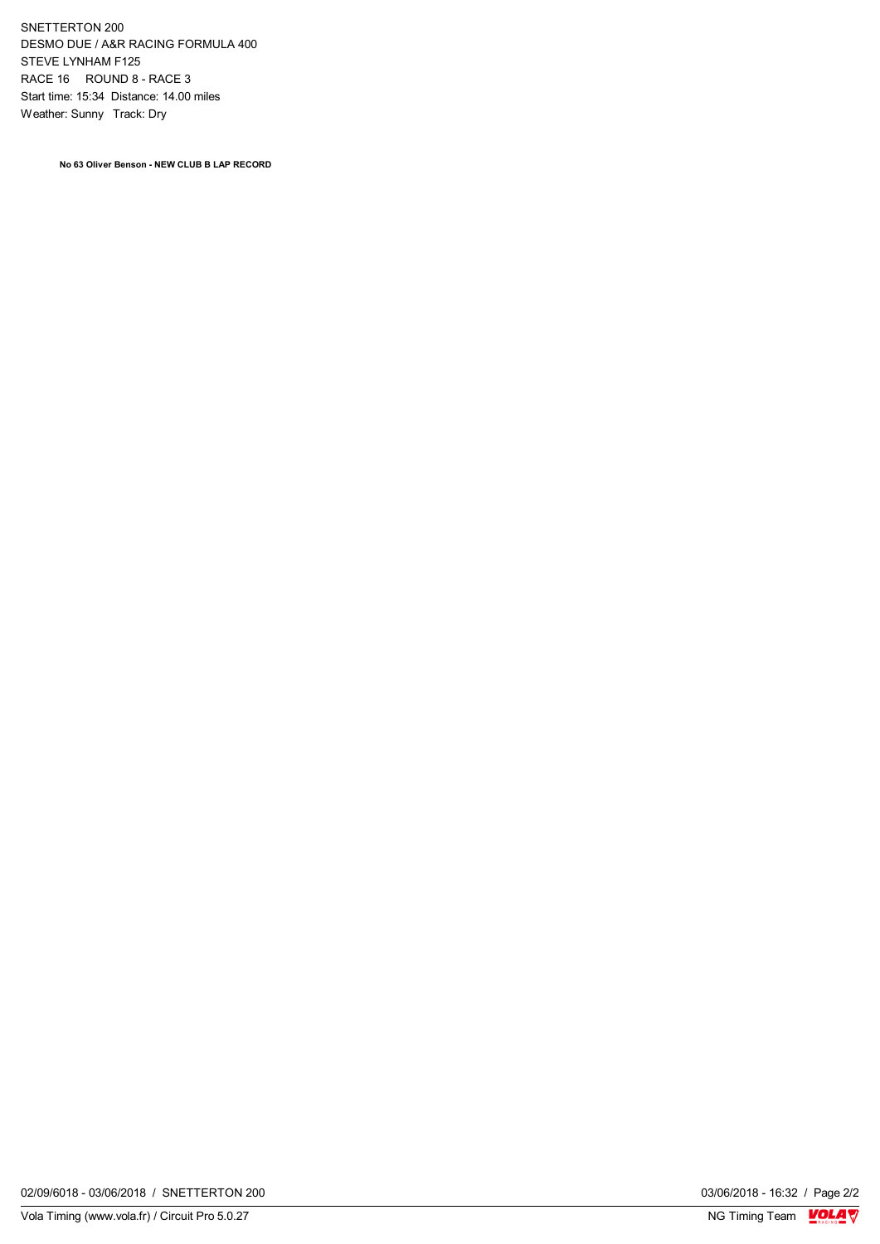SNETTERTON 200 DESMO DUE / A&R RACING FORMULA 400 STEVE LYNHAM F125 RACE 16 ROUND 8 - RACE 3 Start time: 15:34 Distance: 14.00 miles Weather: Sunny Track: Dry

**No 63 Oliver Benson - NEW CLUB B LAP RECORD**

03/06/2018 - 16:32 / Page 2/2<br>NG Timing Team  $\frac{\text{VOLA}}{\text{V}}$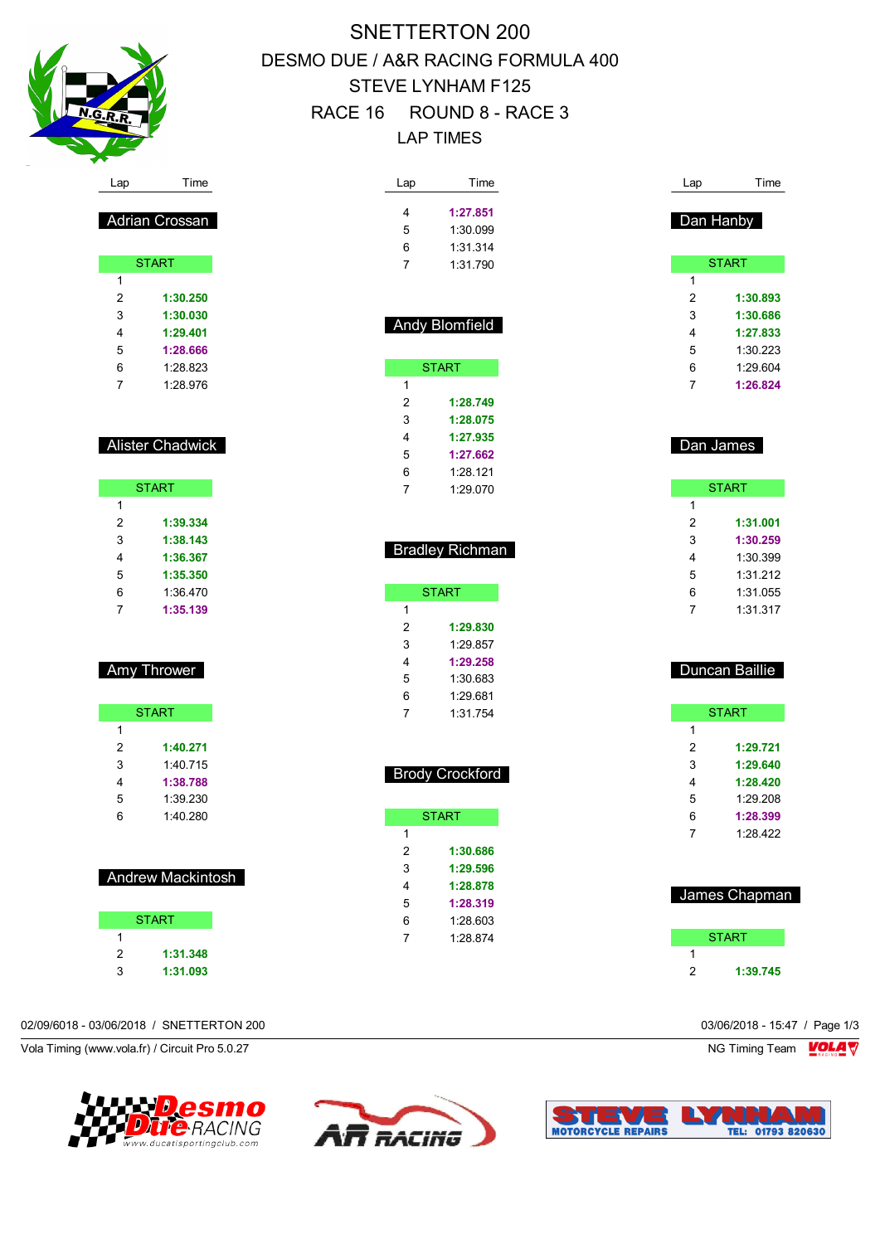

Adrian Crossan

**START** 

 **1:30.250 1:30.030 1:29.401 1:28.666** 1:28.823 1:28.976

Alister Chadwick

START

 **1:39.334 1:38.143 1:36.367 1:35.350** 1:36.470 **1:35.139**

Amy Thrower

START **START** 

Andrew Mackintosh

START **START** 

 **1:31.348 1:31.093**

 **1:40.271** 1:40.715 **1:38.788** 1:39.230 1:40.280

# SNETTERTON 200 DESMO DUE / A&R RACING FORMULA 400 STEVE LYNHAM F125 RACE 16 ROUND 8 - RACE 3 LAP TIMES

| Lap              | Time                   | Lap            | Time           |
|------------------|------------------------|----------------|----------------|
| 4                | 1:27.851               |                |                |
| 5                | 1:30.099               |                | Dan Hanby      |
| 6                | 1:31.314               |                |                |
| $\overline{7}$   | 1:31.790               |                | <b>START</b>   |
|                  |                        | 1              |                |
|                  |                        | $\overline{2}$ | 1:30.893       |
|                  |                        | 3              | 1:30.686       |
|                  | <b>Andy Blomfield</b>  | 4              | 1:27.833       |
|                  |                        | 5              | 1:30.223       |
|                  | <b>START</b>           | 6              | 1:29.604       |
| 1                |                        | 7              | 1:26.824       |
| $\overline{2}$   | 1:28.749               |                |                |
| 3                | 1:28.075               |                |                |
| 4                | 1:27.935               |                |                |
| 5                | 1:27.662               |                | Dan James      |
| 6                | 1:28.121               |                |                |
| $\overline{7}$   | 1:29.070               |                | <b>START</b>   |
|                  |                        | 1              |                |
|                  |                        | 2              | 1:31.001       |
|                  |                        | 3              | 1:30.259       |
|                  | <b>Bradley Richman</b> | 4              | 1:30.399       |
|                  |                        | 5              | 1:31.212       |
|                  | <b>START</b>           | 6              | 1:31.055       |
| 1                |                        | $\overline{7}$ | 1:31.317       |
| $\overline{2}$   | 1:29.830               |                |                |
| 3                | 1:29.857               |                |                |
| 4                | 1:29.258               |                | Duncan Baillie |
| 5                | 1:30.683               |                |                |
| 6                | 1:29.681               |                |                |
|                  |                        |                | <b>START</b>   |
| $\overline{7}$   | 1:31.754               |                |                |
|                  |                        | 1              |                |
|                  |                        | 2              | 1:29.721       |
|                  |                        | 3              | 1:29.640       |
|                  | <b>Brody Crockford</b> | 4              | 1:28.420       |
|                  |                        | 5              | 1:29.208       |
|                  | <b>START</b>           | 6              | 1:28.399       |
| 1                |                        | 7              | 1:28.422       |
| $\boldsymbol{2}$ | 1:30.686               |                |                |
| 3                | 1:29.596               |                |                |
| 4                | 1:28.878               |                |                |
| 5                | 1:28.319               |                | James Chapman  |
| 6                | 1:28.603               |                |                |
| 7                | 1:28.874               |                | <b>START</b>   |
|                  |                        | 1<br>2         | 1:39.745       |

02/09/6018 - 03/06/2018 / SNETTERTON 200 03/06/2018 - 15:47 / Page 1/3

Vola Timing (www.vola.fr) / Circuit Pro 5.0.27 NG Timing Team Notice of the Unit of the Unit of the Unit of the Unit of the Unit of the Unit of the Unit of the Unit of the Unit of the Unit of the Unit of the Unit of the U





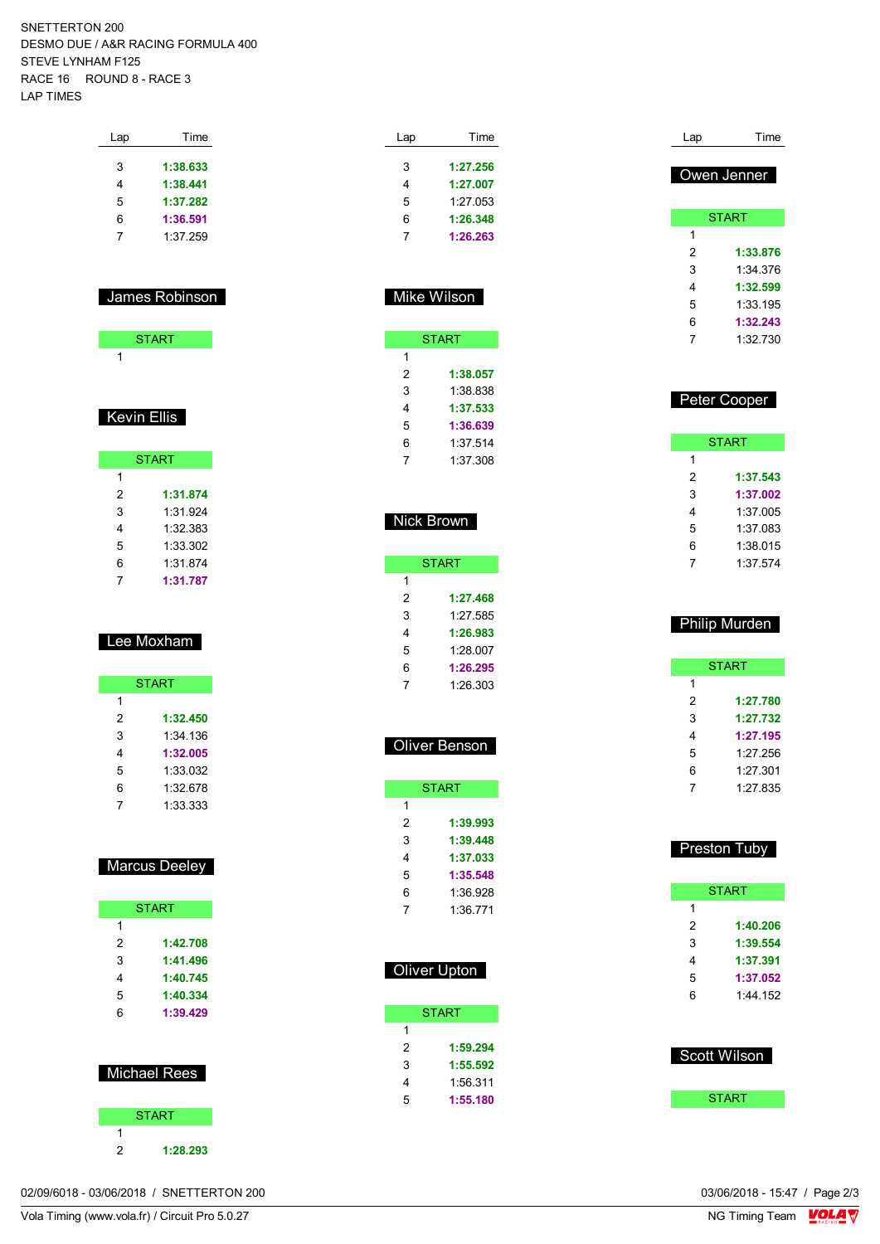SNETTERTON 200 DESMO DUE / A&R RACING FORMULA 400 STEVE LYNHAM F125 RACE 16 ROUND 8 - RACE 3 LAP TIMES

| Lap | Time     |
|-----|----------|
| 3   | 1:38.633 |
| 4   | 1:38.441 |
| 5   | 1:37.282 |
| 6   | 1:36.591 |
| 7   | 1:37.259 |
|     |          |

### James Robinson

| START |  |
|-------|--|
|       |  |

### Kevin Ellis

|   | <b>START</b> |
|---|--------------|
| 1 |              |
| 2 | 1:31.874     |
| 3 | 1:31.924     |
| 4 | 1:32.383     |
| 5 | 1:33.302     |
| 6 | 1:31.874     |
|   | 1:31.787     |

### Lee Moxham

| <b>START</b> |          |
|--------------|----------|
| 1            |          |
| 2            | 1:32.450 |
| 3            | 1:34 136 |
| 4            | 1:32.005 |
| 5            | 1:33.032 |
| 6            | 1:32.678 |
|              | 1:33.333 |

### Marcus Deeley

|                     | <b>START</b> |
|---------------------|--------------|
| 1                   |              |
| 2                   | 1:42.708     |
| 3                   | 1:41.496     |
| 4                   | 1:40.745     |
| 5                   | 1:40.334     |
| 6                   | 1:39.429     |
|                     |              |
| <b>Michael Rees</b> |              |



| Lap | Time     |
|-----|----------|
| 3   | 1:27.256 |
|     |          |
| 4   | 1:27.007 |
| 5   | 1:27.053 |
| 6   | 1:26.348 |
|     | 1:26.263 |

### Mike Wilson

|   | START    |
|---|----------|
| 1 |          |
| 2 | 1:38.057 |
| 3 | 1:38 838 |
| 4 | 1:37.533 |
| 5 | 1:36.639 |
| 6 | 1:37.514 |
|   | 1:37.308 |

#### Nick Brown

|   | START    |
|---|----------|
| 1 |          |
| 2 | 1:27.468 |
| 3 | 1.27 585 |
| 4 | 1:26.983 |
| 5 | 1:28.007 |
| 6 | 1:26.295 |
| 7 | 1:26.303 |

### Oliver Benson

|   | <b>START</b> |
|---|--------------|
| 1 |              |
| 2 | 1:39.993     |
| 3 | 1:39.448     |
| 4 | 1:37.033     |
| 5 | 1:35.548     |
| 6 | 1:36.928     |
| 7 | 1:36 771     |

| Oliver Upton |  |
|--------------|--|
|              |  |
| <b>START</b> |  |
|              |  |

| 2 | 1:59.294 |
|---|----------|
| 3 | 1:55.592 |
| 4 | 1:56.311 |
| 5 | 1:55.180 |

| Lap | Time         |
|-----|--------------|
|     | Owen Jenner  |
|     | <b>START</b> |
| 1   |              |
| 2   | 1:33.876     |
| 3   | 1:34 376     |
| 4   | 1:32.599     |
| 5   | 1:33 195     |
| 6   | 1:32.243     |
| 7   | 1:32.730     |
|     |              |
|     |              |
|     | Peter Cooper |

| <b>START</b> |          |  |
|--------------|----------|--|
| 1            |          |  |
| 2            | 1:37.543 |  |
| 3            | 1:37.002 |  |
| 4            | 1:37005  |  |
| 5            | 1:37 083 |  |
| 6            | 1:38.015 |  |
| 7            | 1:37 574 |  |

### Philip Murden START **1:27.780 1:27.732 1:27.195** 1:27.256 1:27.301 1:27.835

|   | <b>Preston Tuby</b> |
|---|---------------------|
|   | START               |
| 1 |                     |
| 2 | 1:40.206            |
| 3 | 1:39.554            |
| 4 | 1:37.391            |
| 5 | 1:37.052            |
| 6 | 1:44.152            |

| <b>Scott Wilson</b> |
|---------------------|
| <b>START</b>        |

02/09/6018 - 03/06/2018 / SNETTERTON 200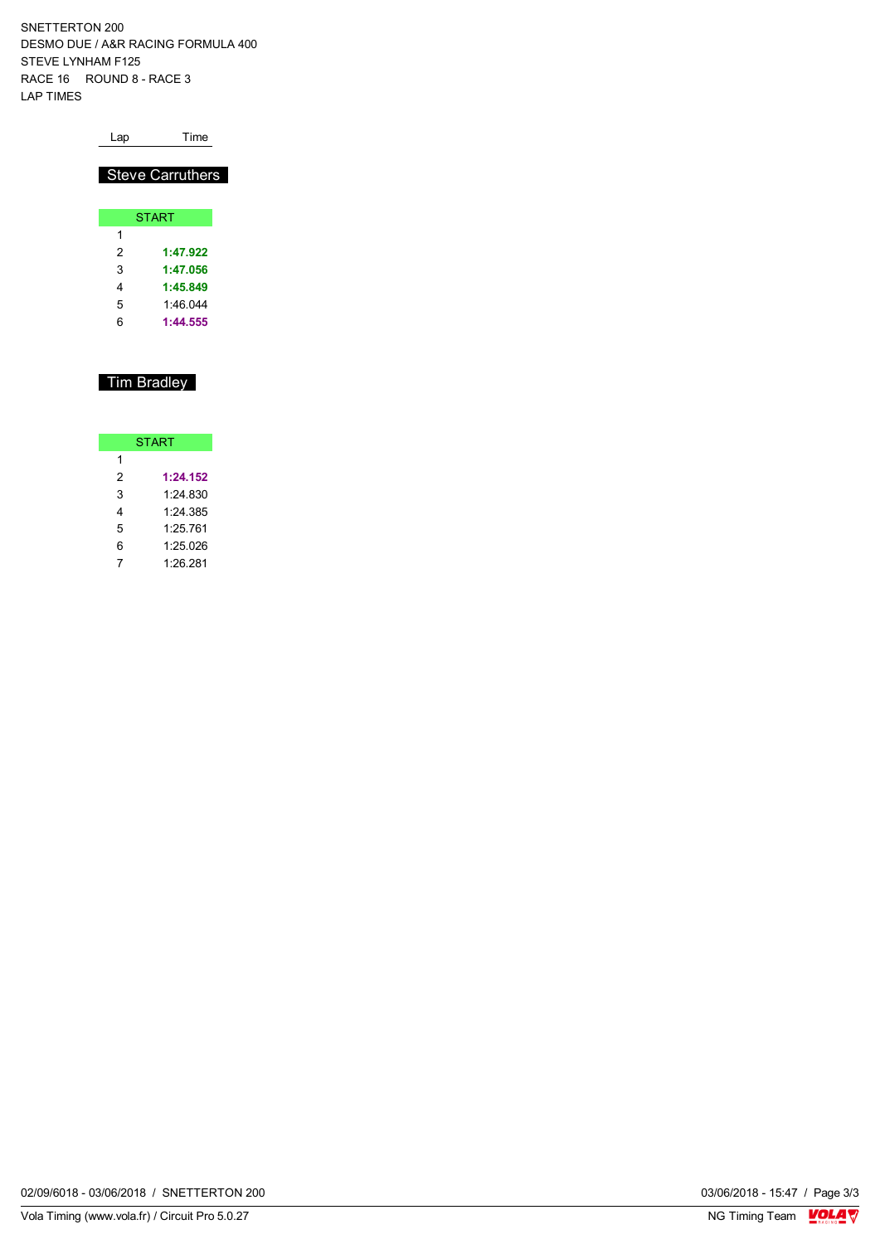SNETTERTON 200 DESMO DUE / A&R RACING FORMULA 400 STEVE LYNHAM F125 RACE 16 ROUND 8 - RACE 3 LAP TIMES

| Lap | Time                    |
|-----|-------------------------|
|     | <b>Steve Carruthers</b> |
|     |                         |
|     | <b>START</b>            |
| 1   |                         |
| 2   | 1:47.922                |
| 3   | 1:47.056                |
|     | 1:45.849                |

## Tim Bradley

5 1:46.044 6 **1:44.555**

| <b>START</b> |          |  |  |  |  |  |  |  |  |  |
|--------------|----------|--|--|--|--|--|--|--|--|--|
| 1            |          |  |  |  |  |  |  |  |  |  |
| 2            | 1:24.152 |  |  |  |  |  |  |  |  |  |
| 3            | 1.24 830 |  |  |  |  |  |  |  |  |  |
| 4            | 1:24.385 |  |  |  |  |  |  |  |  |  |
| 5            | 1:25.761 |  |  |  |  |  |  |  |  |  |
| 6            | 1:25.026 |  |  |  |  |  |  |  |  |  |
|              | 1:26.281 |  |  |  |  |  |  |  |  |  |

02/09/6018 - 03/06/2018 / SNETTERTON 200